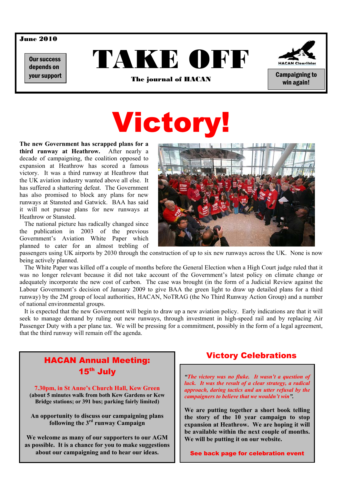## June 2010

Our success depends on





win again!

your support **of the contract of Campaigning to the journal of HACAN** campaigning to the contract of the second t<br>The journal of HACAN

# **Victory**

**The new Government has scrapped plans for a third runway at Heathrow.** After nearly a decade of campaigning, the coalition opposed to expansion at Heathrow has scored a famous victory. It was a third runway at Heathrow that the UK aviation industry wanted above all else. It has suffered a shattering defeat. The Government has also promised to block any plans for new runways at Stansted and Gatwick. BAA has said it will not pursue plans for new runways at Heathrow or Stansted.

 The national picture has radically changed since the publication in 2003 of the previous Government's Aviation White Paper which planned to cater for an almost trebling of



passengers using UK airports by 2030 through the construction of up to six new runways across the UK. None is now being actively planned.

 The White Paper was killed off a couple of months before the General Election when a High Court judge ruled that it was no longer relevant because it did not take account of the Government's latest policy on climate change or adequately incorporate the new cost of carbon. The case was brought (in the form of a Judicial Review against the Labour Government's decision of January 2009 to give BAA the green light to draw up detailed plans for a third runway) by the 2M group of local authorities, HACAN, NoTRAG (the No Third Runway Action Group) and a number of national environmental groups.

 It is expected that the new Government will begin to draw up a new aviation policy. Early indications are that it will seek to manage demand by ruling out new runways, through investment in high-speed rail and by replacing Air Passenger Duty with a per plane tax. We will be pressing for a commitment, possibly in the form of a legal agreement, that the third runway will remain off the agenda.



## Victory Celebrations

*"The victory was no fluke. It wasn't a question of luck. It was the result of a clear strategy, a radical approach, daring tactics and an utter refusal by the campaigners to believe that we wouldn't win".* 

**We are putting together a short book telling the story of the 10 year campaign to stop expansion at Heathrow. We are hoping it will be available within the next couple of months. We will be putting it on our website.** 

See back page for celebration event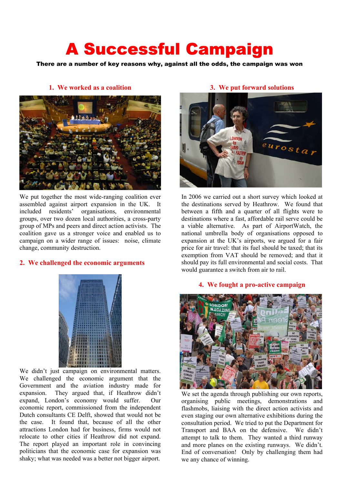## A Successful Campaign

There are a number of key reasons why, against all the odds, the campaign was won



We put together the most wide-ranging coalition ever assembled against airport expansion in the UK. It included residents' organisations, environmental groups, over two dozen local authorities, a cross-party group of MPs and peers and direct action activists. The coalition gave us a stronger voice and enabled us to campaign on a wider range of issues: noise, climate change, community destruction.

## **2. We challenged the economic arguments**



We didn't just campaign on environmental matters. We challenged the economic argument that the Government and the aviation industry made for expansion. They argued that, if Heathrow didn't expand, London's economy would suffer. Our economic report, commissioned from the independent Dutch consultants CE Delft, showed that would not be the case. It found that, because of all the other attractions London had for business, firms would not relocate to other cities if Heathrow did not expand. The report played an important role in convincing politicians that the economic case for expansion was shaky; what was needed was a better not bigger airport.

## **3. We put forward solutions**



In 2006 we carried out a short survey which looked at the destinations served by Heathrow. We found that between a fifth and a quarter of all flights were to destinations where a fast, affordable rail serve could be a viable alternative. As part of AirportWatch, the national umbrella body of organisations opposed to expansion at the UK's airports, we argued for a fair price for air travel: that its fuel should be taxed; that its exemption from VAT should be removed; and that it should pay its full environmental and social costs. That would guarantee a switch from air to rail.

## **4. We fought a pro-active campaign**



We set the agenda through publishing our own reports, organising public meetings, demonstrations and flashmobs, liaising with the direct action activists and even staging our own alternative exhibitions during the consultation period. We tried to put the Department for Transport and BAA on the defensive. We didn't attempt to talk to them. They wanted a third runway and more planes on the existing runways. We didn't. End of conversation! Only by challenging them had we any chance of winning.

## **1. We worked as a coalition**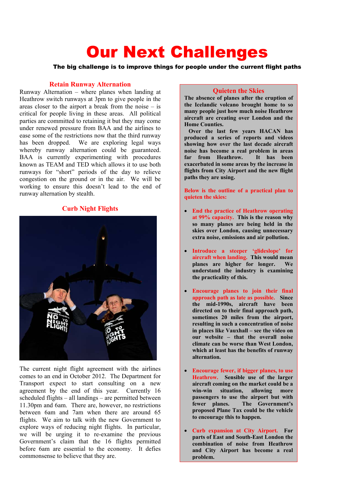# Our Next Challenges

The big challenge is to improve things for people under the current flight paths

## **Retain Runway Alternation**

Runway Alternation – where planes when landing at Heathrow switch runways at 3pm to give people in the areas closer to the airport a break from the noise  $-$  is critical for people living in these areas. All political parties are committed to retaining it but they may come under renewed pressure from BAA and the airlines to ease some of the restrictions now that the third runway has been dropped. We are exploring legal ways whereby runway alternation could be guaranteed. BAA is currently experimenting with procedures known as TEAM and TED which allows it to use both runways for "short" periods of the day to relieve congestion on the ground or in the air. We will be working to ensure this doesn't lead to the end of runway alternation by stealth.

## **Curb Night Flights**



The current night flight agreement with the airlines comes to an end in October 2012. The Department for Transport expect to start consulting on a new agreement by the end of this year. Currently 16 scheduled flights – all landings – are permitted between 11.30pm and 6am. There are, however, no restrictions between 6am and 7am when there are around 65 flights. We aim to talk with the new Government to explore ways of reducing night flights. In particular, we will be urging it to re-examine the previous Government's claim that the 16 flights permitted before 6am are essential to the economy. It defies commonsense to believe that they are.

#### **Quieten the Skies**

**The absence of planes after the eruption of the Icelandic volcano brought home to so many people just how much noise Heathrow aircraft are creating over London and the Home Counties.** 

 **Over the last few years HACAN has produced a series of reports and videos showing how over the last decade aircraft noise has become a real problem in areas far from Heathrow. It has been exacerbated in some areas by the increase in flights from City Airport and the new flight paths they are using.** 

**Below is the outline of a practical plan to quieten the skies:** 

- **End the practice of Heathrow operating at 99% capacity. This is the reason why so many planes are being held in the skies over London, causing unnecessary extra noise, emissions and air pollution.**
- **Introduce a steeper 'glideslope' for aircraft when landing. This would mean planes are higher for longer. We understand the industry is examining the practicality of this.**
- **Encourage planes to join their final approach path as late as possible. Since the mid-1990s, aircraft have been directed on to their final approach path, sometimes 20 miles from the airport, resulting in such a concentration of noise in places like Vauxhall – see the video on our website – that the overall noise climate can be worse than West London, which at least has the benefits of runway alternation.**
- **Encourage fewer, if bigger planes, to use Heathrow. Sensible use of the larger aircraft coming on the market could be a win-win situation, allowing more passengers to use the airport but with fewer planes. The Government's proposed Plane Tax could be the vehicle to encourage this to happen.**
- **Curb expansion at City Airport. For parts of East and South-East London the combination of noise from Heathrow and City Airport has become a real problem.**